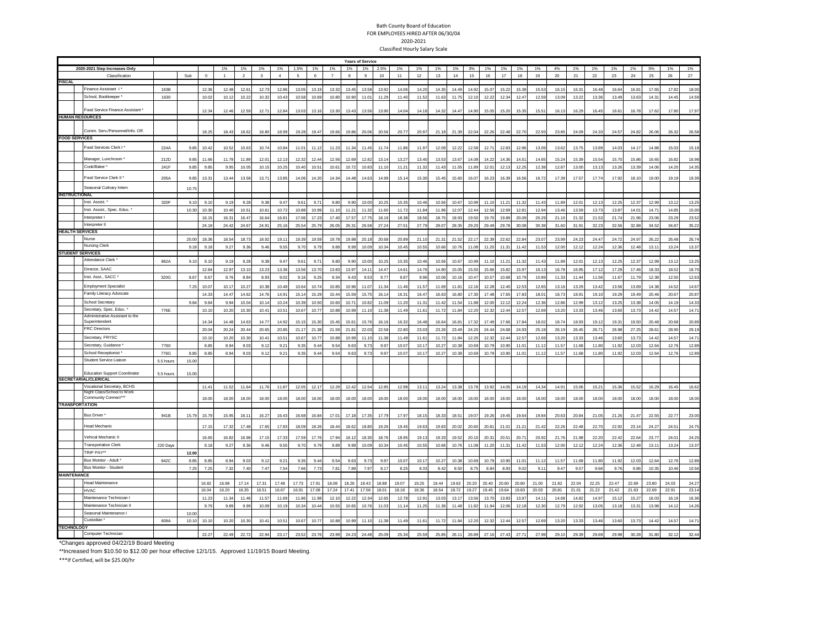## Bath County Board of Education FOR EMPLOYEES HIRED AFTER 06/30/04 2020-2021 Classified Hourly Salary Scale

|                         |                                                                |           | <b>Years of Service</b> |              |                |                      |               |                      |                        |                       |                      |               |                         |                   |               |               |                |                |                |                 |                |                |                |                |               |               |                |                |                |                |                |
|-------------------------|----------------------------------------------------------------|-----------|-------------------------|--------------|----------------|----------------------|---------------|----------------------|------------------------|-----------------------|----------------------|---------------|-------------------------|-------------------|---------------|---------------|----------------|----------------|----------------|-----------------|----------------|----------------|----------------|----------------|---------------|---------------|----------------|----------------|----------------|----------------|----------------|
|                         |                                                                |           |                         |              | 1%             |                      | 1%            |                      |                        |                       |                      | 1%            |                         | 2.5%              |               |               |                |                |                | 1%              |                |                | 1%             |                | 1%            |               | 1%             | 1%             |                | 1%             |                |
|                         | 2020-2021 Step Increases Only<br>Classification                |           | Sub                     | $\Omega$     | $\overline{1}$ | 1%<br>$\overline{2}$ | $\mathbf{3}$  | 1%<br>$\overline{4}$ | 1.5%<br>5 <sub>5</sub> | 1%<br>$6\overline{6}$ | 1%<br>$\overline{7}$ | $\mathbf{a}$  | $1\%$<br>$\mathfrak{g}$ | 10                | 1%<br>11      | 1%<br>12      | 1%<br>13       | 1%<br>14       | 3%<br>15       | 16              | 1%<br>17       | 1%<br>18       | 19             | 4%<br>20       | 21            | 1%<br>22      | 23             | 24             | 5%<br>25       | 26             | 1%<br>27       |
| <b>FISCAL</b>           |                                                                |           |                         |              |                |                      |               |                      |                        |                       |                      |               |                         |                   |               |               |                |                |                |                 |                |                |                |                |               |               |                |                |                |                |                |
|                         | Finance Assistant I'                                           | 163B      |                         | 12.3         | 12.48          | 12.61                | 12.73         | 12.8                 | 13.05                  | 13.19                 | 13.32                | 13.45         | 13.58                   | 13.92             | 14.06         | 14.2          | 14.35          | 14.49          | 14.9           | 15.07           | 15.22          | 15.38          | $15.5^{\circ}$ | 16.15          | 16.3          | 16.48         | 16.64          | 16.8           | 17.6           | 17.8           | 18.00          |
|                         | School, Bookkeeper                                             | 1630      |                         | 10.02        | 10.12          | 10.22                | 10.32         | 10.43                | 10.58                  | 10.69                 | 10.80                | 10.90         | 11.01                   | 11.29             | 11.40         | 11.52         | 11.63          | 11.75          | 12.10          | 12.22           | 12.34          | 12.47          | 12.59          | 13.09          | 13.22         | 13.36         | 13.49          | 13.63          | 14.3           | 14.45          | 14.59          |
|                         |                                                                |           |                         |              |                |                      |               |                      |                        |                       |                      |               |                         |                   |               |               |                |                |                |                 |                |                |                |                |               |               |                |                |                |                |                |
|                         | ood Service Finance Assistant                                  |           |                         | 12.34        | 12.46          | 12.59                | 12.71         | 12.84                | 13.03                  | 13.16                 | 13.30                | 13.43         | 13.56                   | 13.90             | 14.04         | 14.18         | 14.32          | 14.47          | 14.90          | 15.05           | 15.20          | 15.35          | 15.51          | 16.13          | 16.29         | 16.45         | 16.61          | 16.78          | 17.62          | 17.80          | 17.97          |
|                         | <b>HUMAN RESOURCES</b>                                         |           |                         |              |                |                      |               |                      |                        |                       |                      |               |                         |                   |               |               |                |                |                |                 |                |                |                |                |               |               |                |                |                |                |                |
|                         | Comm. Serv./Personnel/Info. Off.                               |           |                         |              |                |                      |               |                      |                        |                       |                      |               |                         |                   |               |               |                |                |                |                 |                |                |                |                |               |               |                |                |                |                |                |
| <b>FOOD SERVICES</b>    |                                                                |           |                         | 18.25        | 18.43          | 18.62                | 18.80         | 18.99                | 19.28                  | 19.47                 | 19.66                | 19.86         | 20.06                   | 20.56             | 20.77         | 20.97         | 21.18          | 21.39          | 22.04          | 22.26           | 22.48          | 22.70          | 22.93          | 23.85          | 24.09         | 24.33         | 24.57          | 24.82          | 26.0           | 26.32          | 26.58          |
|                         |                                                                |           |                         |              |                |                      |               |                      |                        |                       |                      |               |                         |                   |               |               |                |                |                |                 |                |                |                |                |               |               |                |                |                |                |                |
|                         | ood Services Clerk I                                           | 224A      | 9.85                    | 10.4         | 10.52          | 10.63                | 10.74         | 10.84                | 11.01                  | 11.1                  | 11.23                | 11.34         | 11.45                   | 11.74             | 11.86         | 11.97         | 12.09          | 12.22          | 12.58          | $12.7^{\circ}$  | 12.83          | 12.96          | 13.09          | 13.62          | 13.75         | 13.89         | 14.03          | 14.1           | 14.88          | 15.03          | 15.18          |
|                         | Manager, Lunchroom '                                           | 212D      | 9.85                    | 11.66        | 11.78          | 11.89                | 12.01         | 12.1                 | 12.32                  | 12.4                  | 12.56                | 12.69         | 12.82                   | 13.1 <sup>1</sup> | 13.2          | 13.4          | 13.53          | 13.67          | 14.0           | 14.22           | 14.36          | 14.5           | 14.6           | 15.2           | 15.39         | 15.5          | 15.70          | 15.8           | 16.6           | 16.82          | 16.98          |
|                         | Cook/Baker                                                     | 241F      | 9.85                    | 9.8          | 9.95           | 10.05                | 10.15         | 10.25                | 10.40                  | 10.5                  | 10.61                | 10.72         | 10.83                   | 11.10             | 11.21         | 11.32         | 11.43          | 11.55          | 11.8           | 12.01           | 12.13          | 12.25          | 12.38          | 12.87          | 13.00         | 13.13         | 13.26          | 13.39          | 14.06          | 14.20          | 14.35          |
|                         |                                                                |           |                         |              |                |                      |               |                      |                        |                       |                      |               |                         |                   |               |               |                |                |                |                 |                |                |                |                |               |               |                |                |                |                |                |
|                         | ood Service Clerk II *                                         | 205A      | 9.85                    | 13.31        | 13.44          | 13.58                | 13.71         | 13.85                | 14.06                  | 14.20                 | 14.34                | 14.48         | 14.63                   | 14.99             | 15.14         | 15.30         | 15.45          | 15.60          | 16.07          | 16.23           | 16.39          | 16.56          | 16.72          | 17.39          | 17.57         | 17.74         | 17.92          | 18.10          | 19.00          | 19.19          | 19.39          |
|                         | Seasonal Culinary Intern                                       |           | 10.75                   |              |                |                      |               |                      |                        |                       |                      |               |                         |                   |               |               |                |                |                |                 |                |                |                |                |               |               |                |                |                |                |                |
| <b>INSTRUCTIONAL</b>    |                                                                |           |                         |              |                |                      |               |                      |                        |                       |                      |               |                         |                   |               |               |                |                |                |                 |                |                |                |                |               |               |                |                |                |                |                |
|                         | Inst. Assist.                                                  | 320F      | 9.10                    | 9.1          | 9.19           | 9.28                 | 9.38          | 9.47                 | 9.61                   | 9.7                   | 9.80                 | 9.90          | 10.00                   | 10.25             | 10.35         | 10.46         | 10.56          | 10.67          | 10.99          | 11.10           | 11.21          | 11.32          | 11.43          | 11.89          | 12.01         | 12.13         | 12.25          | 12.3           | 12.99          | 13.1           | 13.25          |
|                         | Inst. Assist., Spec. Educ.                                     |           | 10.3                    | 10.3         | 10.40          | 10.51                | 10.61         | 10.72                | 10.8                   | 10.9                  | 11.1                 | 11.2          | 11.32                   | 11.60             | 11.72         | 11.8          | 11.96          | 12.07          | 12.4           | 12.5            | 12.69          | 12.8           | 12.9           | 13.4           | 13.59         | 13.73         | 13.87          | 14.0           | 14.7           | 14.85          | 15.00          |
|                         | nterpreter I                                                   |           |                         | 16.15        | 16.31          | 16.47                | 16.64         | 16.81                | 17.06                  | 17.22                 | 17.40                | 17.57         | 17.75                   | 18.19             | 18.38         | 18.56         | 18.75          | 18.93          | 19.50          | 19.70           | 19.89          | 20.09          | 20.29          | 21.10          | 21.32         | 21.53         | 21.74          | 21.96          | 23.06          | 23.29          | 23.52          |
|                         | Interpreter II                                                 |           |                         | 24.18        | 24.42          | 24.67                | 24.91         | 25.16                | 25.54                  | 25.79                 | 26.05                | 26.31         | 26.58                   | 27.24             | 27.51         | 27.79         | 28.07          | 28.35          | 29.20          | 29.49           | 29.78          | 30.08          | 30.38          | 31.60          | 31.91         | 32.22         | 32.56          | 32.88          | 34.52          | 34.87          | 35.22          |
| <b>HEALTH SERVICES</b>  | Jurse                                                          |           |                         |              |                |                      |               |                      |                        |                       |                      |               |                         |                   |               |               |                |                |                |                 |                |                |                |                |               |               |                |                |                |                |                |
|                         | <b>Nursing Clerk</b>                                           |           | 20.0<br>9.18            | 18.3<br>9.18 | 18.54<br>9.27  | 18.73<br>9.36        | 18.92<br>9.46 | 19.1<br>9.55         | 19.39<br>9.70          | 19.59<br>9.79         | 19.7<br>9.89         | 19.98<br>9.99 | 20.18<br>10.09          | 20.68<br>10.34    | 20.8<br>10.45 | 21.1<br>10.55 | 21.3'<br>10.66 | 21.5<br>10.76  | 22.1<br>11.08  | 22.39<br>11.20  | 22.62<br>11.31 | 22.8<br>11.42  | 23.0<br>11.53  | 23.9<br>12.00  | 24.2<br>12.12 | 24.4<br>12.24 | 24.72<br>12.36 | 24.9<br>12.48  | 26.2<br>13.11  | 26.4<br>13.24  | 26.74<br>13.37 |
| <b>STUDENT SERVICES</b> |                                                                |           |                         |              |                |                      |               |                      |                        |                       |                      |               |                         |                   |               |               |                |                |                |                 |                |                |                |                |               |               |                |                |                |                |                |
|                         | Attendance Clerk                                               | 862A      | 9.10                    | 9.1          | 9.19           | 9.28                 | 9.38          | 9.47                 | 9.61                   | 9.7                   | 9.80                 | 9.90          | 10.00                   | 10.25             | 10.35         | 10.46         | 10.56          | 10.67          | 10.99          | 11.10           | 11.21          | 11.32          | 11.43          | 11.89          | 12.0          | 12.13         | 12.25          | 12.37          | 12.99          | 13.1           | 13.25          |
|                         | Director, SAAC                                                 |           |                         | 12.84        | 12.97          | 13.10                | 13.23         |                      |                        |                       |                      |               | 14.11                   | 14.47             |               |               | 14.90          |                |                |                 |                | 15.97          | 16.13          |                | 16.95         | 17.12         |                |                |                |                | 18.70          |
|                         | nst. Asst., SACC                                               | 320G      | 8.67                    | 8.67         | 8.76           | 8.84                 | 8.93          | 13.36<br>9.02        | 13.56<br>9.16          | 13.70<br>9.2          | 13.83<br>9.34        | 13.97<br>9.43 | 9.53                    | 9.77              | 14.61<br>9.87 | 14.76<br>9.96 | 10.06          | 15.05<br>10.16 | 15.50<br>10.47 | 15.66<br>10.57  | 15.82<br>10.68 | 10.79          | 10.89          | 16.78<br>11.33 | 11.44         | 11.56         | 17.29<br>11.67 | 17.46<br>11.79 | 18.33<br>12.31 | 18.52<br>12.50 | 12.63          |
|                         |                                                                |           |                         |              |                |                      |               |                      |                        |                       |                      |               |                         |                   |               |               |                |                |                |                 |                |                |                |                |               |               |                |                |                |                |                |
|                         | Employment Specialist                                          |           | 7.25                    | 10.07        | 10.17          | 10.27                | 10.38         | 10.4                 | 10.64                  | 10.74                 | 10.85                | 10.96         | 11.07                   | 11.34             | 11.4          | 11.57         | 11.69          | 11.8           | 12.1           | 12.28           | 12.40          | 12.53          | 12.65          | 13.16          | 13.29         | 13.42         | 13.56          | 13.69          | 14.38          | 14.52          | 14.67          |
|                         | amily Literacy Advocate                                        |           |                         | 14.3         | 14.47          | 14.62                | 14.76         | 14.9                 | 15.14                  | 15.2                  | 15.4                 | 15.59         | 15.75                   | 16.14             | 16.3          | 16.4          | 16.63          | 16.8           | 17.30          | 17.48           | 17.65          | 17.83          | 18.0           | 18.7           | 18.9          | 19.1          | 19.29          | 19.4           | 20.4           | 20.6           | 20.87          |
|                         | School Secretary                                               |           | 9.84                    | 9.84         | 9.94           | 10.04                | 10.14         | 10.24                | 10.39                  | 10.50                 | 10.60                | 10.71         | 10.82                   | 11.09             | 11.20         | 11.31         | 11.42          | 11.54          | 11.88          | 12.00           | 12.12          | 12.24          | 12.36          | 12.86          | 12.99         | 13.12         | 13.25          | 13.38          | 14.05          | 14.19          | 14.33          |
|                         | Secretary, Spec. Educ.                                         | 776E      |                         | 10.1         | 10.20          | 10.30                | 10.41         | 10.51                | 10.67                  | 10.77                 | 10.88                | 10.99         | 11.10                   | 11.38             | 11.49         | 11.61         | 11.72          | 11.84          | 12.20          | 12.32           | 12.44          | 12.5           | 12.69          | 13.20          | 13.33         | 13.46         | 13.60          | 13.73          | 14.42          | 14.57          | 14.71          |
|                         | Administrative Assistant to the<br>Superintendent              |           |                         | 14.3         | 14.48          | 14.63                | 14.77         | 14.9                 | 15.15                  | 15.3                  | 15.45                | 15.61         | 15.76                   | 16.16             | 16.3          | 16.48         | 16.64          | 16.8           | 17.3           | 17 <sub>A</sub> | 17.66          | 17.8           | 18.03          | 18.7           | 18.93         | 19.1          | 19.31          | 19.5           | 20.4           | 20.68          | 20.89          |
|                         | <b>FRC Directors</b>                                           |           |                         | 20.04        | 20.24          | 20.44                | 20.65         | 20.85                | 21.17                  | 21.38                 | 21.59                | 21.81         | 22.03                   | 22.58             | 22.81         | 23.03         | 23.26          | 23.49          | 24.20          | 24.44           | 24.68          | 24.93          | 25.18          | 26.19          | 26.45         | 26.7          | 26.98          | 27.25          | 28.61          | 28.90          | 29.19          |
|                         | Secretary, FRYSC                                               |           |                         | 10.1         | 10.20          | 10.30                | 10.41         | 10.51                | 10.67                  | 10.77                 | 10.88                | 10.99         | 11.10                   | 11.38             | 11.49         | 11.61         | 11.72          | 11.84          | 12.20          | 12.32           | 12.44          | 12.57          | 12.69          | 13.21          | 13.33         | 13.46         | 13.60          | 13.73          | 14.42          | 14.57          | 14.71          |
|                         | Secretary, Guidance                                            | 7760      |                         | 8.85         | 8.94           | 9.03                 | 9.12          | 9.2                  | 9.3                    | 9.4                   | 9.5                  | 9.63          | 9.73                    | 9.97              | 10.0          | 10.17         | 10.27          | 10.38          | 10.69          | 10.79           | 10.90          | 11.01          | 11.12          | 11.57          | 11.68         | 11.8          | 11.92          | 12.0           | 12.6           | 12.7           | 12.89          |
|                         | <b>School Receptionist</b>                                     | 776G      | 8.85                    | 8.85         | 8.94           | 9.03                 | 9.12          | 9.2                  | 9.3                    | 94                    | 9.54                 | 9.63          | 9.7                     | 9.97              | 10.0          | 10.11         | 10.27          | 10.31          | 10.6           | 10.7            | 10.90          | 11.01          | 11.12          | 11.5           | 11.6          | 11.8          | 11.92          | 12.0           | 12.6           | 12.7           | 12.89          |
|                         | Student Service Liaison                                        | 5.5 hours | 15.00                   |              |                |                      |               |                      |                        |                       |                      |               |                         |                   |               |               |                |                |                |                 |                |                |                |                |               |               |                |                |                |                |                |
|                         |                                                                |           |                         |              |                |                      |               |                      |                        |                       |                      |               |                         |                   |               |               |                |                |                |                 |                |                |                |                |               |               |                |                |                |                |                |
|                         | <b>Education Support Coordinator</b>                           | 5.5 hours | 15.00                   |              |                |                      |               |                      |                        |                       |                      |               |                         |                   |               |               |                |                |                |                 |                |                |                |                |               |               |                |                |                |                |                |
|                         | <b>SECRETARIAL/CLERICAL</b>                                    |           |                         |              |                |                      |               |                      |                        |                       |                      |               |                         |                   |               |               |                |                |                |                 |                |                |                |                |               |               |                |                |                |                |                |
|                         | ocational Secretary, BCHS<br><b>vight Class/School to Work</b> |           |                         | 11.41        | 11.52          | 11.64                | 11.76         | 11.87                | 12.05                  | 12.17                 | 12.29                | 12.42         | 12.54                   | 12.85             | 12.98         | 13.11         | 13.24          | 13.38          | 13.78          | 13.92           | 14.05          | 14.19          | 14.34          | 14.91          | 15.06         | 15.21         | 15.36          | 15.52          | 16.29          | 16.45          | 16.62          |
|                         | Community Connect***                                           |           |                         | 18.0         | 18.00          | 18.00                | 18.00         | 18.00                | 18.00                  | 18.00                 | 18.00                | 18.00         | 18.00                   | 18.00             | 18.00         | 18.00         | 18.00          | 18.00          | 18.00          | 18.00           | 18.00          | 18.00          | 18.00          | 18.00          | 18.00         | 18.00         | 18.00          | 18.0           | 18.00          | 18.00          | 18.00          |
| <b>TRANSPORTATION</b>   |                                                                |           |                         |              |                |                      |               |                      |                        |                       |                      |               |                         |                   |               |               |                |                |                |                 |                |                |                |                |               |               |                |                |                |                |                |
|                         | <b>Bus Driver</b>                                              | 941B      | 15.79                   | 15.7         |                |                      | 16.27         | 16.4                 | 16.68                  | 16.8                  | 17.01                | 17.18         | 17.35                   | 17.79             | 17.9          | 18.15         | 18.33          | 18.51          | 19.07          | 19.26           | 19.45          | 19.6           | $19.8 -$       | 20.6           |               | 21.05         | 21.26          | 21.4           | 22.5           | 22.77          |                |
|                         |                                                                |           |                         |              | 15.95          | 16.11                |               |                      |                        |                       |                      |               |                         |                   |               |               |                |                |                |                 |                |                |                |                | 20.84         |               |                |                |                |                | 23.00          |
|                         | <b>Jead Mechanic</b>                                           |           |                         | 17.1         | 17.32          | 17.48                | 17.65         | 17.83                | 18.09                  | 18.26                 | 18.44                | 18.62         | 18.80                   | 19.26             | 19.45         | 19.63         | 19.83          | 20.02          | 20.60          | $20.8^{\circ}$  | 21.01          | 21.21          | 21.41          | 22.26          | 22.48         | 22.70         | 22.92          | 23.1           | 24.27          | 24.51          | 24.75          |
|                         | /ehical Mechanic II                                            |           |                         | 16.6         | 16.82          | 16.98                | 17.15         | 17.33                | 17.59                  | 17.76                 | 17.94                | 18.13         | 18.30                   | 18.76             | 18.95         | 19.13         | 19.33          | 19.52          | 20.1           | $20.3^{\circ}$  | 20.51          | 20.7           | 20.92          | 21.76          | 21.98         | 22.2          | 22.42          | 22.6           | 23.77          | 24.01          | 24.25          |
|                         | <b>Transportation Clerk</b>                                    | 220 Days  |                         | 9.18         | 9.27           | 9.36                 | 9.46          | 9.55                 | 9.70                   | 9.79                  | 9.89                 | 9.99          | 10.09                   | 10.34             | 10.45         | 10.55         | 10.66          | 10.76          | 11.08          | 11.20           | 11.31          | 11.42          | 11.53          | 12.00          | 12.12         | 12.24         | 12.36          | 12.48          | 13.11          | 13.24          | 13.37          |
|                         | <b>TRIP PAY*</b>                                               |           | 12.0                    |              |                |                      |               |                      |                        |                       |                      |               |                         |                   |               |               |                |                |                |                 |                |                |                |                |               |               |                |                |                |                |                |
|                         | <b>Bus Monitor - Adult '</b>                                   | 942C      | 8.85                    | 8.8          | 8.94           | 9.03                 | 9.12          | 9.2                  | 9.35                   | 9.4                   | 9.54                 | 9.63          | 9.7                     | 9.97              | 10.0          | 10.1          | 10.27          | 10.3           | 10.6           | 10.79           | 10.90          | $11.0^{\circ}$ | 11.1           | 11.5           | 11.68         | 11.8          | 11.92          | 12.0           | 12.64          | 12.7           | 12.89          |
|                         | <b>Bus Monitor - Student</b>                                   |           | 7.25                    | 7.25         | 7.32           | 7.40                 | 7.47          | 7.54                 | 7.66                   | 7.73                  | 7.81                 | 7.89          | 7.97                    | 8.17              | 8.25          | 8.33          | 8.42           | 8.50           | 8.75           | 8.84            | 8.93           | 9.02           | 9.11           | 9.47           | 9.57          | 9.66          | 9.76           | 9.86           | 10.35          | 10.46          | 10.56          |
| <b>MAINTENANCE</b>      |                                                                |           |                         |              |                |                      |               |                      |                        |                       |                      |               |                         |                   |               |               |                |                |                |                 |                |                |                |                |               |               |                |                |                |                |                |
|                         | lead Maintenance                                               |           |                         | 16.82        | 16.98          | 17.14                | 17.31         | 17.48                | 17.73                  | 17.91                 | 18.08                | 18.26         | 18.43                   | 18.88             | 19.07         | 19.25         | 19.44          | 19.63          | 20.20          | 20.40           | 20.60          | 20.80          | 21.00          | 21.82          | 22.04         | 22.25         | 22.47          | 22.69          | 23.80          | 24.03          | 24.27          |
|                         | <b>HVAC</b>                                                    |           |                         | 16.04        | 16.20          | 16.35                | 16.51         | 16.67                | 16.91                  | 17.08                 | 17.24                | 17.41         | 17.58                   | 18.01             | 18.18         | 18.36         | 18.54          | 18.72          | 19.27          | 19.45           | 19.64          | 19.83          | 20.03          | 20.81          | 21.01         | 21.22         | 21.42          | 21.63          | 22.69          | 22.91          | 23.14          |
|                         | Maintenance Technician I                                       |           |                         | 11.22        | 11.34          | 11.46                | 11.57         | 11.69                | 11.86                  | 11Q                   | 12.10                | 12.22         | 12.34                   | 12.65             | 12.78         | 12.91         | 13.03          | 13.17          | 13.56          | 13.70           | 13.83          | 13.97          | 14.11          | 14.68          | 14.82         | 14.97         | 15.12          | 15.27          | 16.02          | 16.19          | 16.36          |
|                         | Maintenance Technician I                                       |           |                         | 9.79         | 9.89           | 9.99                 | 10.09         | 10.19                | 10.34                  | 10.44                 | 10.55                | 10.65         | 10.76                   | 11.03             | 11.14         | 11.25         | 11.36          | 11.48          | 11.82          | 11.94           | 12.06          | 12.18          | 12.30          | 12.79          | 12.92         | 13.05         | 13.18          | 13.31          | 13.98          | 14.12          | 14.26          |
|                         | Seasonal Maintenance                                           |           | 10.0                    |              |                |                      |               |                      |                        |                       |                      |               |                         |                   |               |               |                |                |                |                 |                |                |                |                |               |               |                |                |                |                |                |
|                         | Custodian                                                      | 609A      | 10.10                   | 10.10        | 10.20          | 10.30                | 10.41         | 10.51                | 10.67                  | 10.77                 | 10.88                | 10.99         | 11.10                   | 11.38             | 11.49         | 11.61         | 11.72          | 11.84          | 12.20          | 12.32           | 12.44          | 12.57          | 12.69          | 13.20          | 13.33         | 13.46         | 13.60          | 13.73          | 14.42          | 14.57          | 14.71          |
| <b>TECHNOLOGY</b>       |                                                                |           |                         |              |                |                      |               |                      |                        |                       |                      |               |                         |                   |               |               |                |                |                |                 |                |                |                |                |               |               |                |                |                |                |                |
|                         | Computer Technician                                            |           |                         | 22.2         | 22.49          | 22.72                | 22.94         | 23.17                | 23.52                  | 23.76                 | 23.99                | 24.23         | 24.48                   | 25.09             | 25.34         | 25.59         | 25.85          | 26.1           | 26.89          | 27.16           | 27.43          | $27.7^{\circ}$ | 27.98          | 29.10          | 29.39         | 29.69         | 29.98          | 30.28          | 31.80          | 32.12          | 32.44          |

\*Changes approved 04/22/19 Board Meeting

\*\*Increased from \$10.50 to \$12.00 per hour effective 12/1/15. Approved 11/19/15 Board Meeting.

\*\*\*If Certified, will be \$25.00/hr